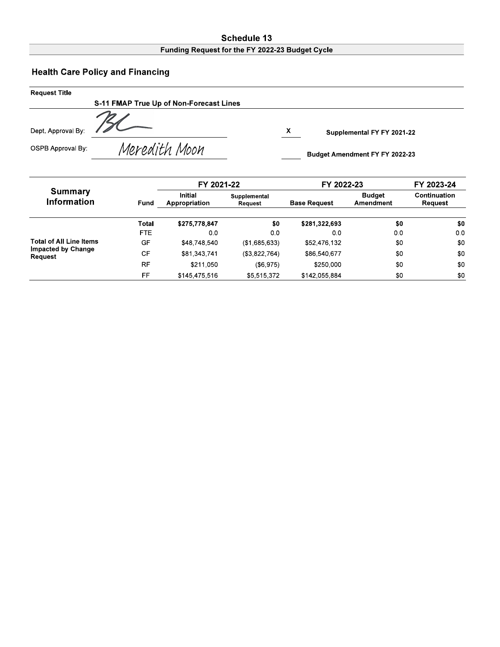### Schedule 13 Funding Request for the FY 2022-23 Budget Cycle

# **Health Care Policy and Financing**

| <b>Request Title</b>     |                                         |   |                                |
|--------------------------|-----------------------------------------|---|--------------------------------|
|                          | S-11 FMAP True Up of Non-Forecast Lines |   |                                |
| Dept. Approval By:       |                                         | X | Supplemental FY FY 2021-22     |
| <b>OSPB Approval By:</b> | Meredith Moon                           |   | Budget Amendment FY FY 2022-23 |

|                                      |           | FY 2021-22                      |                         | FY 2022-23          | FY 2023-24          |                         |  |
|--------------------------------------|-----------|---------------------------------|-------------------------|---------------------|---------------------|-------------------------|--|
| <b>Summary</b><br><b>Information</b> | Fund      | <b>Initial</b><br>Appropriation | Supplemental<br>Request | <b>Base Request</b> | Budget<br>Amendment | Continuation<br>Request |  |
|                                      | Total     | \$275,778,847                   | \$0                     | \$281,322,693       | \$0                 | \$0                     |  |
|                                      | FTE.      | 0.0                             | 0.0                     | 0.0                 | 0.0                 | 0 <sub>0</sub>          |  |
| <b>Total of All Line Items</b>       | GF        | \$48.748.540                    | (\$1,685,633)           | \$52,476,132        | \$0                 | \$0                     |  |
| <b>Impacted by Change</b><br>Request | <b>CF</b> | \$81,343,741                    | (\$3,822,764)           | \$86,540,677        | \$0                 | \$0                     |  |
|                                      | <b>RF</b> | \$211,050                       | ( \$6, 975)             | \$250.000           | \$0                 | \$0                     |  |
|                                      | FF        | \$145,475,516                   | \$5.515.372             | \$142,055.884       | \$0                 | \$0                     |  |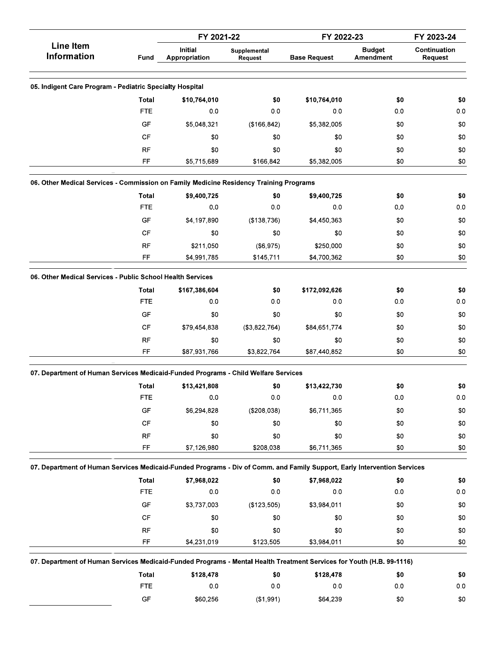|                                                                                                                          |                        | FY 2021-22                      |                         | FY 2022-23          |                            | FY 2023-24                     |
|--------------------------------------------------------------------------------------------------------------------------|------------------------|---------------------------------|-------------------------|---------------------|----------------------------|--------------------------------|
| <b>Line Item</b><br><b>Information</b>                                                                                   | Fund                   | <b>Initial</b><br>Appropriation | Supplemental<br>Request | <b>Base Request</b> | <b>Budget</b><br>Amendment | Continuation<br><b>Request</b> |
| 05. Indigent Care Program - Pediatric Specialty Hospital                                                                 |                        |                                 |                         |                     |                            |                                |
|                                                                                                                          | <b>Total</b>           | \$10,764,010                    | \$0                     | \$10,764,010        | \$0                        | \$0                            |
|                                                                                                                          | <b>FTE</b>             | 0.0                             | 0.0                     | 0.0                 | 0.0                        | 0.0                            |
|                                                                                                                          | GF                     | \$5,048,321                     | (\$166, 842)            | \$5,382,005         | \$0                        | \$0                            |
|                                                                                                                          | CF                     | \$0                             | \$0                     | \$0                 | \$0                        | \$0                            |
|                                                                                                                          | RF                     | \$0                             | \$0                     | \$0                 | \$0                        | \$0                            |
|                                                                                                                          | FF                     | \$5,715,689                     | \$166,842               | \$5,382,005         | \$0                        | \$0                            |
| 06. Other Medical Services - Commission on Family Medicine Residency Training Programs                                   |                        |                                 |                         |                     |                            |                                |
|                                                                                                                          | Total                  | \$9,400,725                     | \$0                     | \$9,400,725         | \$0                        | \$0                            |
|                                                                                                                          | <b>FTE</b>             | 0 <sub>0</sub>                  | 0.0                     | 0.0                 | 0.0                        | 0.0                            |
|                                                                                                                          | GF                     | \$4,197,890                     | (\$138,736)             | \$4,450,363         | \$0                        | \$0                            |
|                                                                                                                          | CF                     | \$0                             | \$0                     | \$0                 | \$0                        | \$0                            |
|                                                                                                                          | <b>RF</b>              | \$211,050                       | (\$6,975)               | \$250,000           | \$0                        | \$0                            |
|                                                                                                                          | FF                     | \$4,991,785                     | \$145,711               | \$4,700,362         | \$0                        | \$0                            |
| 06. Other Medical Services - Public School Health Services                                                               |                        |                                 |                         |                     |                            |                                |
|                                                                                                                          | Total                  | \$167,386,604                   | \$0                     | \$172,092,626       | \$0                        | \$0                            |
|                                                                                                                          | <b>FTE</b>             | 0 <sub>0</sub>                  | 0.0                     | 0.0                 | 0.0                        | 0.0                            |
|                                                                                                                          | GF                     | \$0                             | \$0                     | \$0                 | \$0                        | \$0                            |
|                                                                                                                          | CF                     | \$79,454,838                    | (\$3,822,764)           | \$84,651,774        | \$0                        | \$0                            |
|                                                                                                                          | <b>RF</b>              | \$0                             | \$0                     | \$0                 | \$0                        | \$0                            |
|                                                                                                                          | FF                     | \$87,931,766                    | \$3,822,764             | \$87,440,852        | \$0                        | \$0                            |
| 07. Department of Human Services Medicaid-Funded Programs - Child Welfare Services                                       |                        |                                 |                         |                     |                            |                                |
|                                                                                                                          | <b>Total</b>           | \$13,421,808                    | \$0                     | \$13,422,730        | \$0                        | \$0                            |
|                                                                                                                          | <b>FTE</b>             | 0.0                             | 0 <sub>0</sub>          | 0.0                 | 0.0                        | 0.0                            |
|                                                                                                                          | GF                     | \$6,294,828                     | (\$208,038)             | \$6,711,365         | \$0                        | \$0                            |
|                                                                                                                          | $\mathsf{C}\mathsf{F}$ | \$0                             | \$0                     | \$0                 | \$0                        | $\$0$                          |
|                                                                                                                          | <b>RF</b>              | \$0                             | \$0                     | \$0                 | \$0                        | \$0                            |
|                                                                                                                          | FF                     | \$7,126,980                     | \$208,038               | \$6,711,365         | \$0                        | $\$0$                          |
| 07. Department of Human Services Medicaid-Funded Programs - Div of Comm. and Family Support, Early Intervention Services |                        |                                 |                         |                     |                            |                                |
|                                                                                                                          | <b>Total</b>           | \$7,968,022                     | \$0                     | \$7,968,022         | \$0                        | \$0                            |
|                                                                                                                          | <b>FTE</b>             | 0.0                             | 0.0                     | 0.0                 | 0.0                        | 0.0                            |
|                                                                                                                          | GF                     | \$3,737,003                     | (\$123,505)             | \$3,984,011         | \$0                        | \$0                            |
|                                                                                                                          | CF                     | \$0                             | \$0                     | \$0                 | \$0                        | \$0                            |
|                                                                                                                          | <b>RF</b>              | \$0                             | \$0                     | \$0                 | \$0                        | $\$0$                          |
|                                                                                                                          | FF                     | \$4,231,019                     | \$123,505               | \$3,984,011         | \$0                        | $\$0$                          |
| 07. Department of Human Services Medicaid-Funded Programs - Mental Health Treatment Services for Youth (H.B. 99-1116)    |                        |                                 |                         |                     |                            |                                |
|                                                                                                                          | <b>Total</b>           | \$128,478                       | \$0                     | \$128,478           | \$0                        | \$0                            |
|                                                                                                                          | <b>FTE</b>             | 0.0                             | 0.0                     | 0.0                 | 0.0                        | 0.0                            |
|                                                                                                                          | GF                     | \$60,256                        | (\$1,991)               | \$64,239            | \$0                        | $\$0$                          |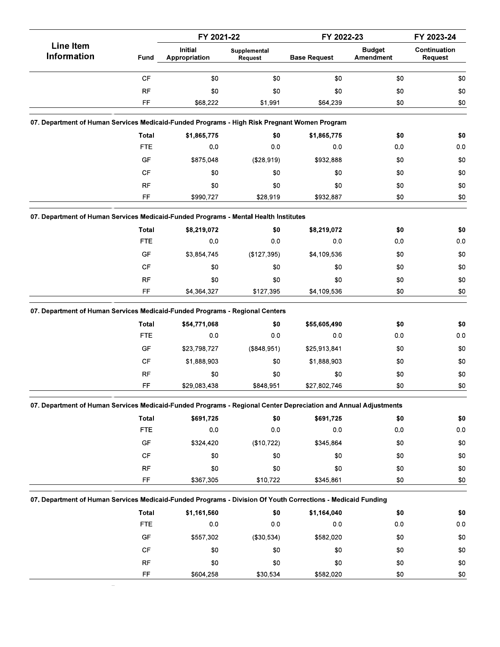|                                                                                                                 |                            | FY 2021-22                      |                         | FY 2022-23          |                            | FY 2023-24                          |
|-----------------------------------------------------------------------------------------------------------------|----------------------------|---------------------------------|-------------------------|---------------------|----------------------------|-------------------------------------|
| <b>Line Item</b><br><b>Information</b>                                                                          | Fund                       | <b>Initial</b><br>Appropriation | Supplemental<br>Request | <b>Base Request</b> | <b>Budget</b><br>Amendment | Continuation<br><b>Request</b>      |
|                                                                                                                 | CF                         | \$0                             | \$0                     | \$0                 | \$0                        | $\$0$                               |
|                                                                                                                 | <b>RF</b>                  | \$0                             | \$0                     | \$0                 | \$0                        | \$0                                 |
|                                                                                                                 | FF                         | \$68,222                        | \$1,991                 | \$64,239            | \$0                        | \$0                                 |
| 07. Department of Human Services Medicaid-Funded Programs - High Risk Pregnant Women Program                    |                            |                                 |                         |                     |                            |                                     |
|                                                                                                                 | Total                      | \$1,865,775                     | \$0                     | \$1,865,775         | \$0                        | \$0                                 |
|                                                                                                                 | <b>FTE</b>                 | 0.0                             | 0.0                     | 0.0                 | 0.0                        | $0.0\,$                             |
|                                                                                                                 | GF                         | \$875,048                       | (\$28,919)              | \$932,888           | \$0                        | \$0                                 |
|                                                                                                                 | CF                         | \$0                             | \$0                     | \$0                 | \$0                        | \$0                                 |
|                                                                                                                 | <b>RF</b>                  | \$0                             | \$0                     | \$0                 | \$0                        | \$0                                 |
|                                                                                                                 | FF                         | \$990,727                       | \$28,919                | \$932,887           | \$0                        | \$0                                 |
| 07. Department of Human Services Medicaid-Funded Programs - Mental Health Institutes                            |                            |                                 |                         |                     |                            |                                     |
|                                                                                                                 | <b>Total</b>               | \$8,219,072                     | \$0                     | \$8,219,072         | \$0                        | \$0                                 |
|                                                                                                                 | <b>FTE</b>                 | 0.0                             | 0 <sub>0</sub>          | 0.0                 | 0.0                        | $0.0\,$                             |
|                                                                                                                 | GF                         | \$3,854,745                     | (\$127,395)             | \$4,109,536         | \$0                        | \$0                                 |
|                                                                                                                 | CF                         | \$0                             | \$0                     | \$0                 | \$0                        | \$0                                 |
|                                                                                                                 | <b>RF</b>                  | \$0                             | \$0                     | \$0                 | \$0                        | \$0                                 |
|                                                                                                                 | FF                         | \$4,364,327                     | \$127,395               | \$4,109,536         | \$0                        | \$0                                 |
| 07. Department of Human Services Medicaid-Funded Programs - Regional Centers                                    |                            |                                 |                         |                     |                            |                                     |
|                                                                                                                 | <b>Total</b>               | \$54,771,068                    | \$0                     | \$55,605,490        | \$0                        | \$0                                 |
|                                                                                                                 | <b>FTE</b>                 | 0.0                             | 0.0                     | 0.0                 | 0.0                        | $0.0\,$                             |
|                                                                                                                 | GF                         | \$23,798,727                    | (\$848,951)             | \$25,913,841        | \$0                        | \$0                                 |
|                                                                                                                 | <b>CF</b>                  | \$1,888,903                     | \$0                     | \$1,888,903         | \$0                        | \$0                                 |
|                                                                                                                 | <b>RF</b>                  | \$0                             | \$0                     | \$0                 | \$0                        | \$0                                 |
|                                                                                                                 | FF                         | \$29,083,438                    | \$848,951               | \$27,802,746        | \$0                        | \$0                                 |
| 07. Department of Human Services Medicaid-Funded Programs - Regional Center Depreciation and Annual Adjustments |                            |                                 |                         |                     |                            |                                     |
|                                                                                                                 | <b>Total</b>               | \$691,725                       | \$0                     | \$691,725           | \$0                        | \$0                                 |
|                                                                                                                 |                            |                                 |                         |                     |                            |                                     |
|                                                                                                                 | <b>FTE</b>                 | 0.0                             | 0.0                     | 0.0                 | 0.0                        |                                     |
|                                                                                                                 | GF                         | \$324,420                       | (\$10,722)              | \$345,864           | \$0                        |                                     |
|                                                                                                                 | CF                         | \$0                             | \$0                     | \$0                 | \$0                        |                                     |
|                                                                                                                 | <b>RF</b>                  |                                 | \$0                     | \$0                 | \$0                        |                                     |
|                                                                                                                 | FF                         | \$0<br>\$367,305                | \$10,722                | \$345,861           | \$0                        | $0.0\,$<br>\$0<br>\$0<br>\$0<br>\$0 |
|                                                                                                                 |                            |                                 |                         |                     |                            |                                     |
| 07. Department of Human Services Medicaid-Funded Programs - Division Of Youth Corrections - Medicaid Funding    |                            |                                 |                         |                     |                            |                                     |
|                                                                                                                 | <b>Total</b><br><b>FTE</b> | \$1,161,560<br>$0.0\,$          | \$0<br>0 <sub>0</sub>   | \$1,164,040<br>0.0  | \$0<br>0.0                 |                                     |
|                                                                                                                 | GF                         | \$557,302                       | (\$30,534)              | \$582,020           | \$0                        |                                     |
|                                                                                                                 | CF                         | \$0                             | \$0                     | \$0                 | \$0                        | \$0                                 |
|                                                                                                                 | <b>RF</b>                  | \$0                             | \$0                     | \$0                 | \$0                        | \$0<br>$0.0\,$<br>\$0<br>\$0        |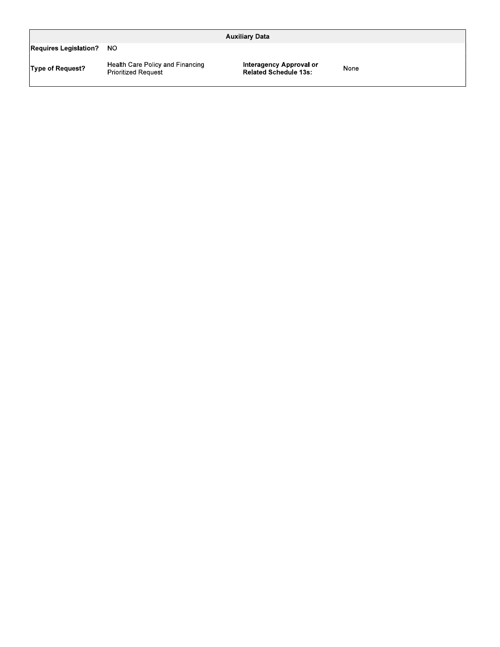|                              |                                                                | <b>Auxiliary Data</b>                                   |      |  |
|------------------------------|----------------------------------------------------------------|---------------------------------------------------------|------|--|
| <b>Requires Legislation?</b> | NO.                                                            |                                                         |      |  |
| <b>Type of Request?</b>      | Health Care Policy and Financing<br><b>Prioritized Request</b> | Interagency Approval or<br><b>Related Schedule 13s:</b> | None |  |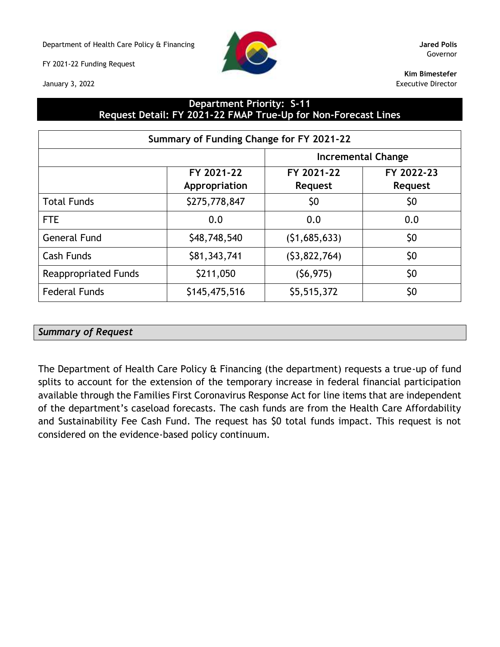Department of Health Care Policy & Financing **Jared Polis**

FY 2021-22 Funding Request

January 3, 2022



Governor

**Kim Bimestefer** Executive Director

### **Department Priority: S-11 Request Detail: FY 2021-22 FMAP True-Up for Non-Forecast Lines**

| Summary of Funding Change for FY 2021-22 |                             |                              |                              |  |  |  |  |  |  |
|------------------------------------------|-----------------------------|------------------------------|------------------------------|--|--|--|--|--|--|
|                                          |                             |                              | <b>Incremental Change</b>    |  |  |  |  |  |  |
|                                          | FY 2021-22<br>Appropriation | FY 2021-22<br><b>Request</b> | FY 2022-23<br><b>Request</b> |  |  |  |  |  |  |
| <b>Total Funds</b>                       | \$275,778,847               | \$0                          | \$0                          |  |  |  |  |  |  |
| <b>FTE</b>                               | 0.0                         | 0.0                          | 0.0                          |  |  |  |  |  |  |
| <b>General Fund</b>                      | \$48,748,540                | (51,685,633)                 | \$0                          |  |  |  |  |  |  |
| Cash Funds                               | \$81,343,741                | (53,822,764)                 | \$0                          |  |  |  |  |  |  |
| <b>Reappropriated Funds</b>              | \$211,050                   | (56, 975)                    | \$0                          |  |  |  |  |  |  |
| <b>Federal Funds</b>                     | \$145,475,516               | \$5,515,372                  | \$0                          |  |  |  |  |  |  |

## *Summary of Request*

The Department of Health Care Policy & Financing (the department) requests a true-up of fund splits to account for the extension of the temporary increase in federal financial participation available through the Families First Coronavirus Response Act for line items that are independent of the department's caseload forecasts. The cash funds are from the Health Care Affordability and Sustainability Fee Cash Fund. The request has \$0 total funds impact. This request is not considered on the evidence-based policy continuum.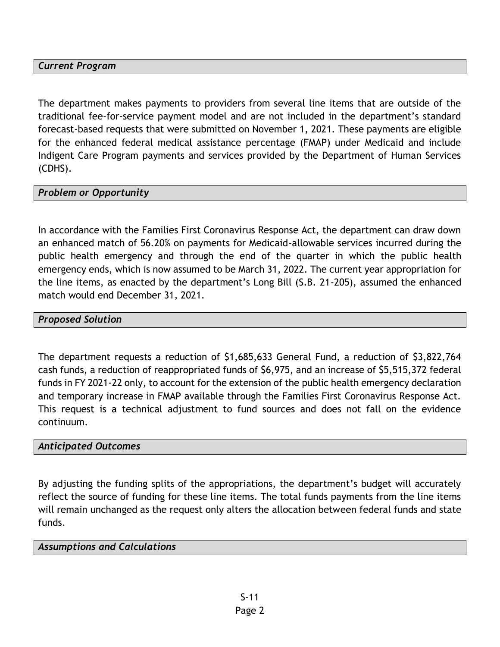## *Current Program*

The department makes payments to providers from several line items that are outside of the traditional fee-for-service payment model and are not included in the department's standard forecast-based requests that were submitted on November 1, 2021. These payments are eligible for the enhanced federal medical assistance percentage (FMAP) under Medicaid and include Indigent Care Program payments and services provided by the Department of Human Services (CDHS).

### *Problem or Opportunity*

In accordance with the Families First Coronavirus Response Act, the department can draw down an enhanced match of 56.20% on payments for Medicaid-allowable services incurred during the public health emergency and through the end of the quarter in which the public health emergency ends, which is now assumed to be March 31, 2022. The current year appropriation for the line items, as enacted by the department's Long Bill (S.B. 21-205), assumed the enhanced match would end December 31, 2021.

#### *Proposed Solution*

The department requests a reduction of \$1,685,633 General Fund, a reduction of \$3,822,764 cash funds, a reduction of reappropriated funds of \$6,975, and an increase of \$5,515,372 federal funds in FY 2021-22 only, to account for the extension of the public health emergency declaration and temporary increase in FMAP available through the Families First Coronavirus Response Act. This request is a technical adjustment to fund sources and does not fall on the evidence continuum.

#### *Anticipated Outcomes*

By adjusting the funding splits of the appropriations, the department's budget will accurately reflect the source of funding for these line items. The total funds payments from the line items will remain unchanged as the request only alters the allocation between federal funds and state funds.

#### *Assumptions and Calculations*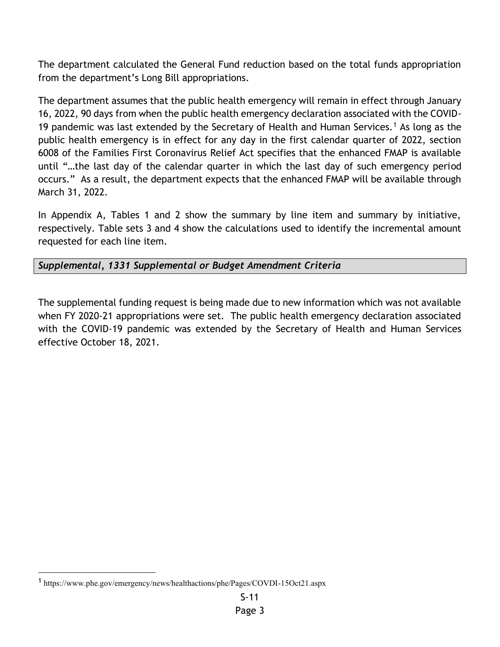The department calculated the General Fund reduction based on the total funds appropriation from the department's Long Bill appropriations.

The department assumes that the public health emergency will remain in effect through January 16, 2022, 90 days from when the public health emergency declaration associated with the COVID-19 pandemic was last extended by the Secretary of Health and Human Services.<sup>1</sup> As long as the public health emergency is in effect for any day in the first calendar quarter of 2022, section 6008 of the Families First Coronavirus Relief Act specifies that the enhanced FMAP is available until "…the last day of the calendar quarter in which the last day of such emergency period occurs." As a result, the department expects that the enhanced FMAP will be available through March 31, 2022.

In Appendix A, Tables 1 and 2 show the summary by line item and summary by initiative, respectively. Table sets 3 and 4 show the calculations used to identify the incremental amount requested for each line item.

*Supplemental, 1331 Supplemental or Budget Amendment Criteria*

The supplemental funding request is being made due to new information which was not available when FY 2020-21 appropriations were set. The public health emergency declaration associated with the COVID-19 pandemic was extended by the Secretary of Health and Human Services effective October 18, 2021.

<sup>1</sup> https://www.phe.gov/emergency/news/healthactions/phe/Pages/COVDI-15Oct21.aspx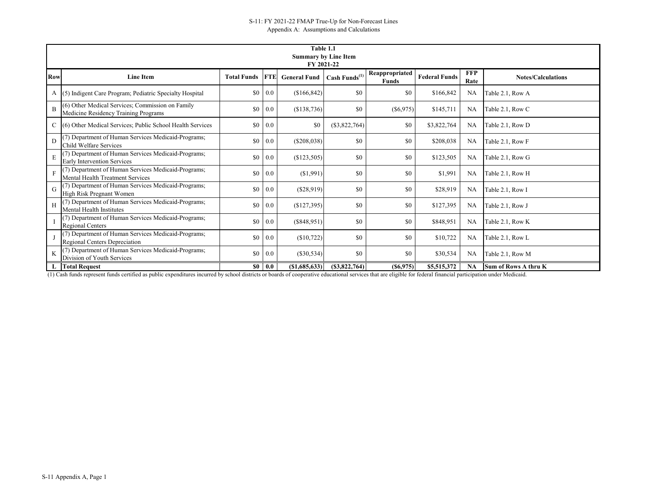|            |                                                                                                |                    |            | Table 1.1                   |                           |                         |                      |            |                           |
|------------|------------------------------------------------------------------------------------------------|--------------------|------------|-----------------------------|---------------------------|-------------------------|----------------------|------------|---------------------------|
|            |                                                                                                |                    |            | <b>Summary by Line Item</b> |                           |                         |                      |            |                           |
|            |                                                                                                |                    |            | FY 2021-22                  |                           |                         |                      | <b>FFP</b> |                           |
| <b>Row</b> | <b>Line Item</b>                                                                               | <b>Total Funds</b> | <b>FTE</b> | <b>General Fund</b>         | Cash Funds <sup>(1)</sup> | Reappropriated<br>Funds | <b>Federal Funds</b> | Rate       | <b>Notes/Calculations</b> |
| A          | (5) Indigent Care Program; Pediatric Specialty Hospital                                        | \$0                | 0.0        | (\$166,842)                 | \$0                       | \$0                     | \$166,842            | <b>NA</b>  | Table 2.1, Row A          |
| B          | (6) Other Medical Services; Commission on Family<br>Medicine Residency Training Programs       | \$0                | $0.0\,$    | (\$138,736)                 | \$0                       | $($ \$6,975)            | \$145,711            | <b>NA</b>  | Table 2.1, Row C          |
|            | (6) Other Medical Services; Public School Health Services                                      | \$0                | 0.0        | \$0                         | (\$3,822,764)             | \$0                     | \$3,822,764          | <b>NA</b>  | Table 2.1, Row D          |
| D          | (7) Department of Human Services Medicaid-Programs;<br>Child Welfare Services                  | \$0                | 0.0        | (S208, 038)                 | \$0                       | \$0                     | \$208,038            | NA         | Table 2.1, Row F          |
| E          | (7) Department of Human Services Medicaid-Programs;<br><b>Early Intervention Services</b>      | \$0                | 0.0        | (\$123,505)                 | \$0                       | \$0                     | \$123,505            | <b>NA</b>  | Table 2.1, Row G          |
| F          | (7) Department of Human Services Medicaid-Programs;<br><b>Mental Health Treatment Services</b> | \$0                | 0.0        | (\$1,991)                   | \$0                       | \$0                     | \$1,991              | NA         | Table 2.1, Row H          |
| G          | (7) Department of Human Services Medicaid-Programs;<br>High Risk Pregnant Women                | \$0                | 0.0        | (\$28,919)                  | \$0                       | \$0                     | \$28,919             | NA         | Table 2.1, Row I          |
| Н          | (7) Department of Human Services Medicaid-Programs;<br>Mental Health Institutes                | \$0                | 0.0        | (\$127,395)                 | \$0                       | \$0                     | \$127,395            | NA         | Table 2.1, Row J          |
|            | (7) Department of Human Services Medicaid-Programs;<br>Regional Centers                        | \$0                | 0.0        | (S848,951)                  | \$0                       | \$0                     | \$848,951            | <b>NA</b>  | Table 2.1, Row K          |
|            | (7) Department of Human Services Medicaid-Programs;<br>Regional Centers Depreciation           | \$0                | 0.0        | (\$10,722)                  | \$0                       | \$0                     | \$10,722             | NA         | Table 2.1, Row L          |
|            | (7) Department of Human Services Medicaid-Programs;<br>Division of Youth Services              | \$0                | 0.0        | (\$30,534)                  | \$0                       | \$0                     | \$30,534             | <b>NA</b>  | Table 2.1, Row M          |
|            | <b>Total Request</b>                                                                           | \$0                | 0.0        | (\$1,685,633)               | (S3, 822, 764)            | $($ \$6,975)            | \$5,515,372          | <b>NA</b>  | Sum of Rows A thru K      |

(1) Cash funds represent funds certified as public expenditures incurred by school districts or boards of cooperative educational services that are eligible for federal financial participation under Medicaid.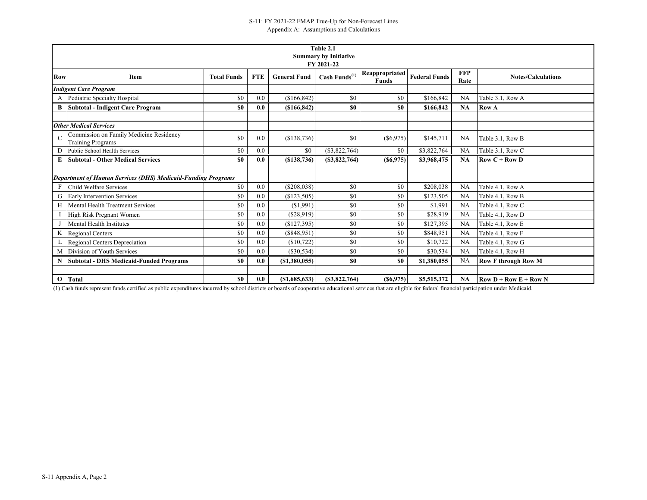|              |                                                                     |                    |            |                     | Table 2.1                                  |                         |                      |                    |                            |
|--------------|---------------------------------------------------------------------|--------------------|------------|---------------------|--------------------------------------------|-------------------------|----------------------|--------------------|----------------------------|
|              |                                                                     |                    |            |                     | <b>Summary by Initiative</b><br>FY 2021-22 |                         |                      |                    |                            |
| <b>Row</b>   | Item                                                                | <b>Total Funds</b> | <b>FTE</b> | <b>General Fund</b> | Cash Funds <sup>(1)</sup>                  | Reappropriated<br>Funds | <b>Federal Funds</b> | <b>FFP</b><br>Rate | <b>Notes/Calculations</b>  |
|              | <b>Indigent Care Program</b>                                        |                    |            |                     |                                            |                         |                      |                    |                            |
|              | A Pediatric Specialty Hospital                                      | \$0                | 0.0        | (\$166,842)         | \$0                                        | \$0                     | \$166,842            | <b>NA</b>          | Table 3.1, Row A           |
| B            | <b>Subtotal - Indigent Care Program</b>                             | \$0                | 0.0        | (\$166,842)         | \$0                                        | \$0                     | \$166,842            | <b>NA</b>          | <b>Row A</b>               |
|              | <b>Other Medical Services</b>                                       |                    |            |                     |                                            |                         |                      |                    |                            |
|              | Commission on Family Medicine Residency<br><b>Training Programs</b> | \$0                | 0.0        | (\$138,736)         | \$0                                        | $(\$6,975)$             | \$145,711            | NA                 | Table 3.1, Row B           |
| D            | Public School Health Services                                       | \$0                | 0.0        | \$0                 | (\$3,822,764)                              | \$0                     | \$3,822,764          | <b>NA</b>          | Table 3.1, Row C           |
|              | <b>Subtotal - Other Medical Services</b>                            | \$0                | 0.0        | (\$138,736)         | (S3, 822, 764)                             | (S6, 975)               | \$3,968,475          | <b>NA</b>          | $Row C + Row D$            |
|              |                                                                     |                    |            |                     |                                            |                         |                      |                    |                            |
|              | <b>Department of Human Services (DHS) Medicaid-Funding Programs</b> |                    |            |                     |                                            |                         |                      |                    |                            |
| F            | Child Welfare Services                                              | \$0                | 0.0        | (\$208,038)         | \$0                                        | \$0                     | \$208,038            | NA                 | Table 4.1, Row A           |
|              | <b>Early Intervention Services</b>                                  | \$0                | 0.0        | (\$123,505)         | \$0                                        | \$0                     | \$123,505            | <b>NA</b>          | Table 4.1, Row B           |
| H            | Mental Health Treatment Services                                    | \$0                | 0.0        | (S1,991)            | \$0                                        | \$0                     | \$1,991              | <b>NA</b>          | Table 4.1, Row C           |
|              | High Risk Pregnant Women                                            | \$0                | 0.0        | (\$28,919)          | \$0                                        | \$0                     | \$28,919             | <b>NA</b>          | Table 4.1, Row D           |
|              | <b>Mental Health Institutes</b>                                     | \$0                | 0.0        | (\$127,395)         | \$0                                        | \$0                     | \$127,395            | <b>NA</b>          | Table 4.1, Row E           |
|              | <b>Regional Centers</b>                                             | \$0                | 0.0        | (S848, 951)         | \$0                                        | \$0                     | \$848,951            | NA                 | Table 4.1, Row F           |
|              | Regional Centers Depreciation                                       | \$0                | 0.0        | (\$10,722)          | \$0                                        | \$0                     | \$10,722             | NA                 | Table 4.1, Row G           |
| M            | Division of Youth Services                                          | \$0                | 0.0        | $(\$30,534)$        | \$0                                        | \$0                     | \$30,534             | NA                 | Table 4.1, Row H           |
| N            | <b>Subtotal - DHS Medicaid-Funded Programs</b>                      | \$0                | 0.0        | (S1,380,055)        | \$0                                        | \$0                     | \$1,380,055          | <b>NA</b>          | <b>Row F through Row M</b> |
|              |                                                                     |                    |            |                     |                                            |                         |                      |                    |                            |
| $\mathbf{O}$ | Total                                                               | \$0                | 0.0        | (S1,685,633)        | (S3, 822, 764)                             | $($ \$6,975)            | \$5,515,372          | <b>NA</b>          | $Row D + Row E + Row N$    |

(1) Cash funds represent funds certified as public expenditures incurred by school districts or boards of cooperative educational services that are eligible for federal financial participation under Medicaid.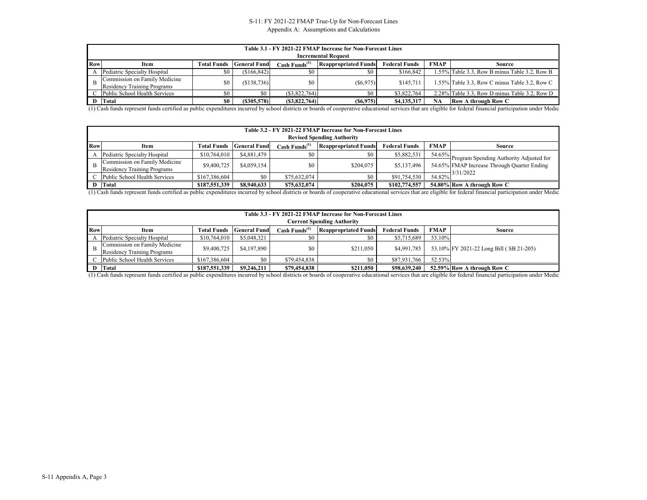#### S-11: FY 2021-22 FMAP True-Up for Non-Forecast Lines Appendix A: Assumptions and Calculations

|            | Table 3.1 - FY 2021-22 FMAP Increase for Non-Forecast Lines<br><b>Incremental Request</b> |                    |                     |                                   |                             |                      |             |                                               |  |  |  |  |
|------------|-------------------------------------------------------------------------------------------|--------------------|---------------------|-----------------------------------|-----------------------------|----------------------|-------------|-----------------------------------------------|--|--|--|--|
| <b>Row</b> | Item                                                                                      | <b>Total Funds</b> | <b>General Fund</b> | $\text{Cash}\ \text{Funds}^{(1)}$ | <b>Reappropriated Funds</b> | <b>Federal Funds</b> | <b>FMAP</b> | Source                                        |  |  |  |  |
|            | Pediatric Specialty Hospital                                                              | S0                 | (S166, 842)         | \$0                               |                             | \$166,842            |             | 1.55% Table 3.3, Row B minus Table 3.2, Row B |  |  |  |  |
|            | Commission on Family Medicine<br>Residency Training Programs                              | \$0                | (\$138,736)         | \$0                               | (S6, 975)                   | \$145,711            |             | 1.55% Table 3.3, Row C minus Table 3.2, Row C |  |  |  |  |
|            | Public School Health Services                                                             | \$0                | \$0                 | (S3.822.764)                      | \$0                         | \$3,822,764          |             | 2.28% Table 3.3, Row D minus Table 3.2, Row D |  |  |  |  |
|            | D Total                                                                                   | \$0                | (S305, 578)         | (S3,822,764)                      | (S6, 975)                   | \$4,135,317          |             | <b>Row A through Row C</b>                    |  |  |  |  |

(1) Cash funds represent funds certified as public expenditures incurred by school districts or boards of cooperative educational services that are eligible for federal financial participation under Medicaid.

|            | Table 3.2 - FY 2021-22 FMAP Increase for Non-Forecast Lines<br><b>Revised Spending Authority</b> |                    |                     |                                   |                             |                      |             |                                                             |  |  |  |  |
|------------|--------------------------------------------------------------------------------------------------|--------------------|---------------------|-----------------------------------|-----------------------------|----------------------|-------------|-------------------------------------------------------------|--|--|--|--|
| <b>Row</b> | Item                                                                                             | <b>Total Funds</b> | <b>General Fund</b> | $\text{Cash}\ \text{Funds}^{(1)}$ | <b>Reappropriated Funds</b> | <b>Federal Funds</b> | <b>FMAP</b> | <b>Source</b>                                               |  |  |  |  |
|            | Pediatric Specialty Hospital                                                                     | \$10,764,010       | \$4,881,479         | \$0                               | SO.                         | \$5,882,531          |             | $\frac{54.65\%}{2}$ Program Spending Authority Adjusted for |  |  |  |  |
|            | Commission on Family Medicine<br><b>Residency Training Programs</b>                              | \$9,400,725        | \$4,059,154         | \$0                               | \$204,075                   | \$5,137,496          |             | 54.65% FMAP Increase Through Quarter Ending                 |  |  |  |  |
|            | Public School Health Services                                                                    | \$167,386,604      | \$0                 | \$75,632,074                      | \$0                         | \$91,754,530         |             | $\frac{1}{54.82\%}$ 3/31/2022                               |  |  |  |  |
|            | Total                                                                                            | \$187,551,339      | \$8,940,633         | \$75,632,074                      | \$204,075                   | \$102,774,557        |             | 54.80% Row A through Row C                                  |  |  |  |  |

(1) Cash funds represent funds certified as public expenditures incurred by school districts or boards of cooperative educational services that are eligible for federal financial participation under Medicaid.

|     | Table 3.3 - FY 2021-22 FMAP Increase for Non-Forecast Lines<br><b>Current Spending Authority</b> |                    |                     |                                          |                             |                      |             |                                         |  |  |  |  |
|-----|--------------------------------------------------------------------------------------------------|--------------------|---------------------|------------------------------------------|-----------------------------|----------------------|-------------|-----------------------------------------|--|--|--|--|
| Row | Item                                                                                             | <b>Total Funds</b> | <b>General Fund</b> | $Cash$ Funds <sup><math>(1)</math></sup> | <b>Reappropriated Funds</b> | <b>Federal Funds</b> | <b>FMAP</b> | <b>Source</b>                           |  |  |  |  |
|     | Pediatric Specialty Hospital                                                                     | \$10,764,010       | \$5,048,321         | \$0                                      | \$0                         | \$5,715,689          | 53.10%      |                                         |  |  |  |  |
|     | Commission on Family Medicine<br><b>Residency Training Programs</b>                              | \$9,400,725        | \$4,197,890         | \$0                                      | \$211,050                   | \$4,991,785          |             | 53.10% FY 2021-22 Long Bill (SB 21-205) |  |  |  |  |
|     | Public School Health Services                                                                    | \$167,386,604      | \$0                 | \$79,454,838                             | \$0                         | \$87,931,766         | 52.53%      |                                         |  |  |  |  |
|     | Total                                                                                            | \$187,551,339      | \$9,246,211         | \$79,454,838                             | \$211,050                   | \$98,639,240         |             | 52.59% Row A through Row C              |  |  |  |  |

(1) Cash funds represent funds certified as public expenditures incurred by school districts or boards of cooperative educational services that are eligible for federal financial participation under Medicaid.